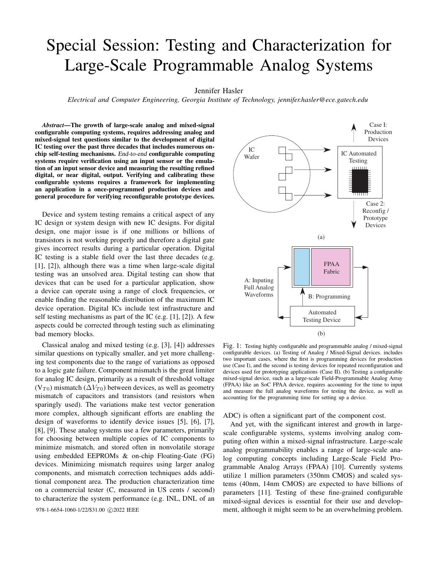# Special Session: Testing and Characterization for Large-Scale Programmable Analog Systems

Jennifer Hasler

*Electrical and Computer Engineering, Georgia Institute of Technology, jennifer.hasler@ece.gatech.edu*

*Abstract*—The growth of large-scale analog and mixed-signal configurable computing systems, requires addressing analog and mixed-signal test questions similar to the development of digital IC testing over the past three decades that includes numerous onchip self-testing mechanisms. End-to-end configurable computing systems require verification using an input sensor or the emulation of an input sensor device and measuring the resulting refined digital, or near digital, output. Verifying and calibrating these configurable systems requires a framework for implementing an application in a once-programmed production devices and general procedure for verifying reconfigurable prototype devices.

Device and system testing remains a critical aspect of any IC design or system design with new IC designs. For digital design, one major issue is if one millions or billions of transistors is not working properly and therefore a digital gate gives incorrect results during a particular operation. Digital IC testing is a stable field over the last three decades (e.g. [1], [2]), although there was a time when large-scale digital testing was an unsolved area. Digital testing can show that devices that can be used for a particular application, show a device can operate using a range of clock frequencies, or enable finding the reasonable distribution of the maximum IC device operation. Digital ICs include test infrastructure and self testing mechanisms as part of the IC (e.g. [1], [2]). A few aspects could be corrected through testing such as eliminating bad memory blocks.

Classical analog and mixed testing (e.g. [3], [4]) addresses similar questions on typically smaller, and yet more challenging test components due to the range of variations as opposed to a logic gate failure. Component mismatch is the great limiter for analog IC design, primarily as a result of threshold voltage  $(V_{T0})$  mismatch  $(\Delta V_{T0})$  between devices, as well as geometry mismatch of capacitors and transistors (and resistors when sparingly used). The variations make test vector generation more complex, although significant efforts are enabling the design of waveforms to identify device issues [5], [6], [7], [8], [9]. These analog systems use a few parameters, primarily for choosing between multiple copies of IC components to minimize mismatch, and stored often in nonvolatile storage using embedded EEPROMs & on-chip Floating-Gate (FG) devices. Minimizing mismatch requires using larger analog components, and mismatch correction techniques adds additional component area. The production characterization time on a commercial tester (C, measured in US cents / second) to characterize the system performance (e.g. INL, DNL of an



Fig. 1: Testing highly configurable and programmable analog / mixed-signal configurable devices. (a) Testing of Analog / Mixed-Signal devices. includes two important cases, where the first is programming devices for production use (Case I), and the second is testing devices for repeated reconfiguration and devices used for prototyping applications (Case II). (b) Testing a configurable mixed-signal device, such as a large-scale Field-Programmable Analog Array (FPAA) like an SoC FPAA device, requires accounting for the time to input and measure the full analog waveforms for testing the device, as well as accounting for the programming time for setting up a device.

ADC) is often a significant part of the component cost.

And yet, with the significant interest and growth in largescale configurable systems, systems involving analog computing often within a mixed-signal infrastructure. Large-scale analog programmability enables a range of large-scale analog computing concepts including Large-Scale Field Programmable Analog Arrays (FPAA) [10]. Currently systems utilize 1 million parameters (350nm CMOS) and scaled systems (40nm, 14nm CMOS) are expected to have billions of parameters [11]. Testing of these fine-grained configurable mixed-signal devices is essential for their use and develop-978-1-6654-1060-1/22/\$31.00  $\odot$ 2022 IEEE ment, although it might seem to be an overwhelming problem.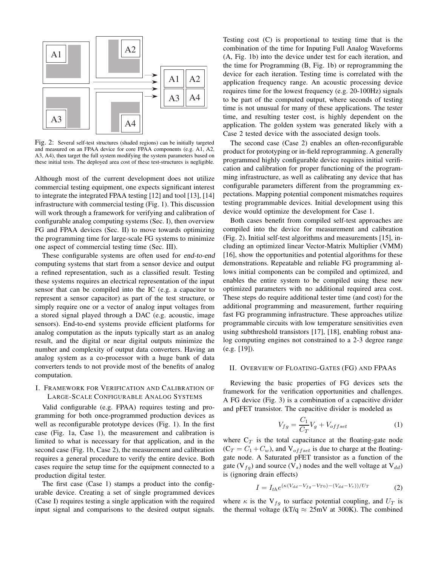

Fig. 2: Several self-test structures (shaded regions) can be initially targeted and measured on an FPAA device for core FPAA components (e.g. A1, A2, A3, A4), then target the full system modifying the system parameters based on these initial tests. The deployed area cost of these test-structures is negligible.

Although most of the current development does not utilize commercial testing equipment, one expects significant interest to integrate the integrated FPAA testing [12] and tool [13], [14] infrastructure with commercial testing (Fig. 1). This discussion will work through a framework for verifying and calibration of configurable analog computing systems (Sec. I), then overview FG and FPAA devices (Sec. II) to move towards optimizing the programming time for large-scale FG systems to minimize one aspect of commercial testing time (Sec. III).

These configurable systems are often used for end-to-end computing systems that start from a sensor device and output a refined representation, such as a classified result. Testing these systems requires an electrical representation of the input sensor that can be compiled into the IC (e.g. a capacitor to represent a sensor capacitor) as part of the test structure, or simply require one or a vector of analog input voltages from a stored signal played through a DAC (e.g. acoustic, image sensors). End-to-end systems provide efficient platforms for analog computation as the inputs typically start as an analog result, and the digital or near digital outputs minimize the number and complexity of output data converters. Having an analog system as a co-processor with a huge bank of data converters tends to not provide most of the benefits of analog computation.

## I. FRAMEWORK FOR VERIFICATION AND CALIBRATION OF LARGE-SCALE CONFIGURABLE ANALOG SYSTEMS

Valid configurable (e.g. FPAA) requires testing and programming for both once-programmed production devices as well as reconfigurable prototype devices (Fig. 1). In the first case (Fig. 1a, Case 1), the measurement and calibration is limited to what is necessary for that application, and in the second case (Fig. 1b, Case 2), the measurement and calibration requires a general procedure to verify the entire device. Both cases require the setup time for the equipment connected to a production digital tester.

The first case (Case 1) stamps a product into the configurable device. Creating a set of single programmed devices (Case I) requires testing a single application with the required input signal and comparisons to the desired output signals. Testing cost (C) is proportional to testing time that is the combination of the time for Inputing Full Analog Waveforms (A, Fig. 1b) into the device under test for each iteration, and the time for Programming (B, Fig. 1b) or reprogramming the device for each iteration. Testing time is correlated with the application frequency range. An acoustic processing device requires time for the lowest frequency (e.g. 20-100Hz) signals to be part of the computed output, where seconds of testing time is not unusual for many of these applications. The tester time, and resulting tester cost, is highly dependent on the application. The golden system was generated likely with a Case 2 tested device with the associated design tools.

The second case (Case 2) enables an often-reconfigurable product for prototyping or in-field reprogramming. A generally programmed highly configurable device requires initial verification and calibration for proper functioning of the programming infrastructure, as well as calibrating any device that has configurable parameters different from the programming expectations. Mapping potential component mismatches requires testing programmable devices. Initial development using this device would optimize the development for Case 1.

Both cases benefit from compiled self-test approaches are compiled into the device for measurement and calibration (Fig. 2). Initial self-test algorithms and measurements [15], including an optimized linear Vector-Matrix Multiplier (VMM) [16], show the opportunities and potential algorithms for these demonstrations. Repeatable and reliable FG programming allows initial components can be compiled and optimized, and enables the entire system to be compiled using these new optimized parameters with no additional required area cost. These steps do require additional tester time (and cost) for the additional programming and measurement, further requiring fast FG programming infrastructure. These approaches utilize programmable circuits with low temperature sensitivities even using subthreshold transistors [17], [18], enabling robust analog computing engines not constrained to a 2-3 degree range (e.g. [19]).

### II. OVERVIEW OF FLOATING-GATES (FG) AND FPAAS

Reviewing the basic properties of FG devices sets the framework for the verification opportunities and challenges. A FG device (Fig. 3) is a combination of a capacitive divider and pFET transistor. The capacitive divider is modeled as

$$
V_{fg} = \frac{C_1}{C_T} V_g + V_{offset} \tag{1}
$$

where  $C_T$  is the total capacitance at the floating-gate node  $(C_T = C_1 + C_w)$ , and  $V_{offset}$  is due to charge at the floatinggate node. A Saturated pFET transistor as a function of the gate ( $V_{fg}$ ) and source ( $V_s$ ) nodes and the well voltage at  $V_{dd}$ ) is (ignoring drain effects)

$$
I = I_{th}e^{(\kappa(V_{dd} - V_{fg} - V_{T0}) - (V_{dd} - V_s))/U_T}
$$
 (2)

where  $\kappa$  is the V<sub>fq</sub> to surface potential coupling, and  $U_T$  is the thermal voltage (kT/q  $\approx$  25mV at 300K). The combined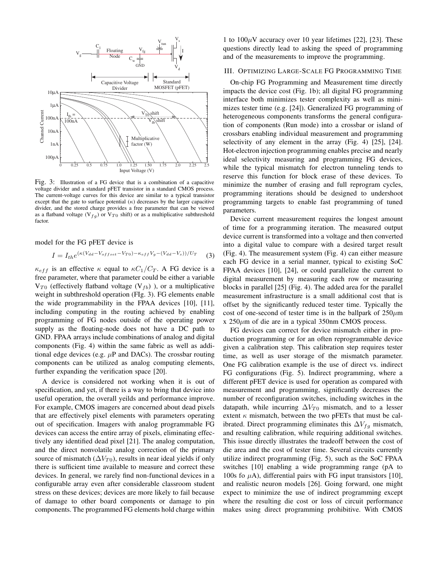

Fig. 3: Illustration of a FG device that is a combination of a capacitive voltage divider and a standard pFET transistor in a standard CMOS process. The current-voltage curves for this device are similar to a typical transistor except that the gate to surface potential  $(\kappa)$  decreases by the larger capacitive divider, and the stored charge provides a free parameter that can be viewed as a flatband voltage (V $_{fq}$ ) or V $_{T0}$  shift) or as a multiplicative subthreshold factor.

model for the FG pFET device is

$$
I = I_{th}e^{(\kappa(V_{dd} - V_{offset} - V_{T0}) - \kappa_{eff}V_g - (V_{dd} - V_s))/U_T}
$$
 (3)

 $\kappa_{eff}$  is an effective  $\kappa$  equal to  $\kappa C_1/C_T$ . A FG device is a free parameter, where that parameter could be either a variable  $V_{T0}$  (effectively flatband voltage (V<sub>fb</sub>)), or a multiplicative weight in subthreshold operation (FIg. 3). FG elements enable the wide programmability in the FPAA devices [10], [11], including computing in the routing achieved by enabling programming of FG nodes outside of the operating power supply as the floating-node does not have a DC path to GND. FPAA arrays include combinations of analog and digital components (Fig. 4) within the same fabric as well as additional edge devices (e.g.  $\mu$ P and DACs). The crossbar routing components can be utilized as analog computing elements, further expanding the verification space [20].

A device is considered not working when it is out of specification, and yet, if there is a way to bring that device into useful operation, the overall yeilds and performance improve. For example, CMOS imagers are concerned about dead pixels that are effectively pixel elements with parameters operating out of specification. Imagers with analog programmable FG devices can access the entire array of pixels, eliminating effectively any identified dead pixel [21]. The analog computation, and the direct nonvolatile analog correction of the primary source of mismatch ( $\Delta V_{T0}$ ), results in near ideal yields if only there is sufficient time available to measure and correct these devices. In general, we rarely find non-functional devices in a configurable array even after considerable classroom student stress on these devices; devices are more likely to fail because of damage to other board components or damage to pin components. The programmed FG elements hold charge within 1 to  $100\mu$ V accuracy over 10 year lifetimes [22], [23]. These questions directly lead to asking the speed of programming and of the measurements to improve the programming.

## III. OPTIMIZING LARGE-SCALE FG PROGRAMMING TIME

On-chip FG Programming and Measurement time directly impacts the device cost (Fig. 1b); all digital FG programming interface both minimizes tester complexity as well as minimizes tester time (e.g. [24]). Generalized FG programming of heterogeneous components transforms the general configuration of components (Run mode) into a crossbar or island of crossbars enabling individual measurement and programming selectivity of any element in the array (Fig. 4) [25], [24]. Hot-electron injection programming enables precise and nearly ideal selectivity measuring and programming FG devices, while the typical mismatch for electron tunneling tends to reserve this function for block erase of these devices. To minimize the number of erasing and full reprogram cycles, programming iterations should be designed to undershoot programming targets to enable fast programming of tuned parameters.

Device current measurement requires the longest amount of time for a programming iteration. The measured output device current is transformed into a voltage and then converted into a digital value to compare with a desired target result (Fig. 4). The measurement system (Fig. 4) can either measure each FG device in a serial manner, typical to existing SoC FPAA devices [10], [24], or could parallelize the current to digital measurement by measuring each row or measuring blocks in parallel [25] (Fig. 4). The added area for the parallel measurement infrastructure is a small additional cost that is offset by the significantly reduced tester time. Typically the cost of one-second of tester time is in the ballpark of  $250 \mu m$  $x 250 \mu m$  of die are in a typical 350nm CMOS process.

FG devices can correct for device mismatch either in production programming or for an often reprogrammable device given a calibration step. This calibration step requires tester time, as well as user storage of the mismatch parameter. One FG calibration example is the use of direct vs. indirect FG configurations (Fig. 5). Indirect programming, where a different pFET device is used for operation as compared with measurement and programming, significantly decreases the number of reconfiguration switches, including switches in the datapath, while incurring  $\Delta V_{T0}$  mismatch, and to a lesser extent  $\kappa$  mismatch, between the two pFETs that must be calibrated. Direct programming eliminates this  $\Delta V_{fg}$  mismatch, and resulting calibration, while requiring additional switches. This issue directly illustrates the tradeoff between the cost of die area and the cost of tester time. Several circuits currently utilize indirect programming (Fig. 5), such as the SoC FPAA switches [10] enabling a wide programming range (pA to 100s fo  $\mu$ A), differential pairs with FG input transistors [10], and realistic neuron models [26]. Going forward, one might expect to minimize the use of indirect programming except where the resulting die cost or loss of circuit performance makes using direct programming prohibitive. With CMOS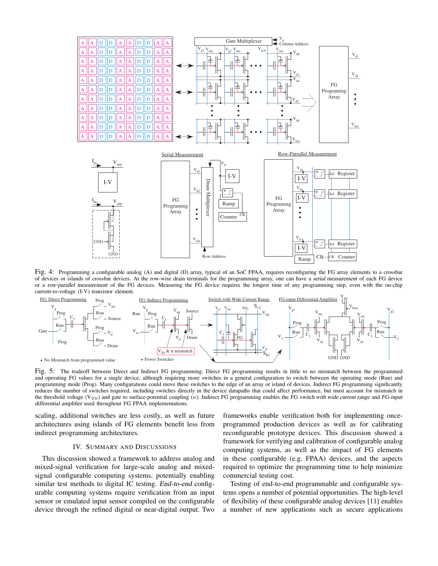

Fig. 4: Programming a configurable analog (A) and digital (D) array, typical of an SoC FPAA, requires reconfiguring the FG array elements to a crossbar of devices or islands of crossbar devices. At the row-wise drain terminals for the programming array, one can have a serial measurement of each FG device or a row-parallel measurement of the FG devices. Measuring the FG device requires the longest time of any programming step, even with the on-chip current-to-voltage (I-V) transistor element.



Fig. 5: The tradeoff between Direct and Indirect FG programming. Direct FG programming results in little to no mismatch between the programmed and operating FG values for a single device, although requiring more switches in a general configuration to switch between the operating mode (Run) and programming mode (Prog). Many configurations could move these switches to the edge of an array or island of devices. Indirect FG programming significantly reduces the number of switches required, including switches directly in the device datapaths that could affect performance, but must account for mismatch in the threshold voltage (V<sub>T0</sub>) and gate to surface-potential coupling ( $\kappa$ ). Indirect FG programming enables the FG switch with wide current range and FG-input differential amplifier used throughout FG FPAA implementations.

scaling, additional switches are less costly, as well as future architectures using islands of FG elements benefit less from indirect programming architectures.

#### IV. SUMMARY AND DISCUSSIONS

This discussion showed a framework to address analog and mixed-signal verification for large-scale analog and mixedsignal configurable computing systems, potentially enabling similar test methods to digital IC testing. End-to-end configurable computing systems require verification from an input sensor or emulated input sensor compiled on the configurable device through the refined digital or near-digital output. Two frameworks enable verification both for implementing onceprogrammed production devices as well as for calibrating reconfigurable prototype devices. This discussion showed a framework for verifying and calibration of configurable analog computing systems, as well as the impact of FG elements in these configurable (e.g. FPAA) devices, and the aspects required to optimize the programming time to help minimize commercial testing cost.

Testing of end-to-end programmable and configurable systems opens a number of potential opportunities. The high-level of flexibility of these configurable analog devices [11] enables a number of new applications such as secure applications